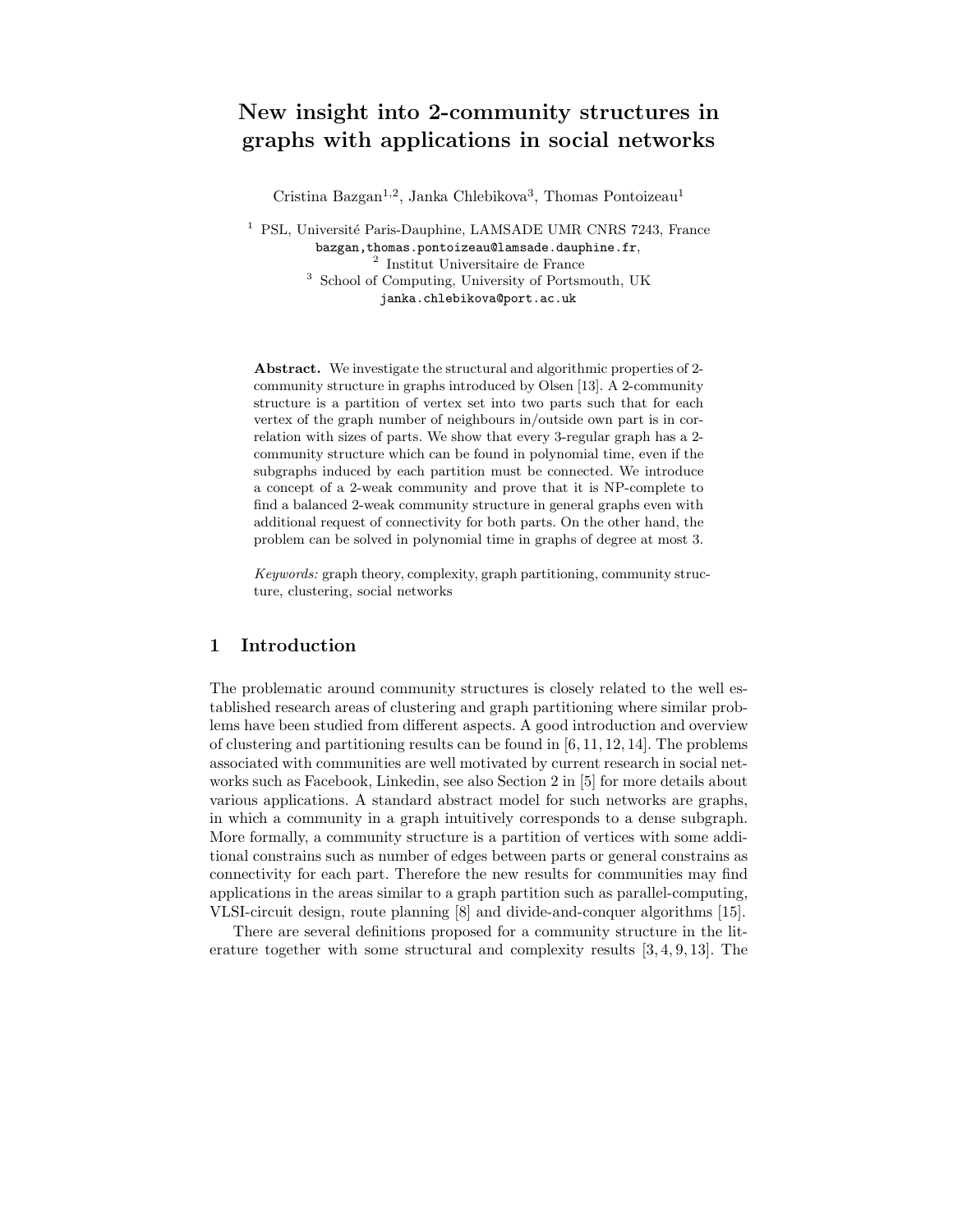# New insight into 2-community structures in graphs with applications in social networks

Cristina Bazgan<sup>1,2</sup>, Janka Chlebikova<sup>3</sup>, Thomas Pontoizeau<sup>1</sup>

<sup>1</sup> PSL, Université Paris-Dauphine, LAMSADE UMR CNRS 7243, France bazgan,thomas.pontoizeau@lamsade.dauphine.fr, 2 Institut Universitaire de France <sup>3</sup> School of Computing, University of Portsmouth, UK janka.chlebikova@port.ac.uk

Abstract. We investigate the structural and algorithmic properties of 2 community structure in graphs introduced by Olsen [13]. A 2-community structure is a partition of vertex set into two parts such that for each vertex of the graph number of neighbours in/outside own part is in correlation with sizes of parts. We show that every 3-regular graph has a 2 community structure which can be found in polynomial time, even if the subgraphs induced by each partition must be connected. We introduce a concept of a 2-weak community and prove that it is NP-complete to find a balanced 2-weak community structure in general graphs even with additional request of connectivity for both parts. On the other hand, the problem can be solved in polynomial time in graphs of degree at most 3.

Keywords: graph theory, complexity, graph partitioning, community structure, clustering, social networks

# 1 Introduction

The problematic around community structures is closely related to the well established research areas of clustering and graph partitioning where similar problems have been studied from different aspects. A good introduction and overview of clustering and partitioning results can be found in [6, 11, 12, 14]. The problems associated with communities are well motivated by current research in social networks such as Facebook, Linkedin, see also Section 2 in [5] for more details about various applications. A standard abstract model for such networks are graphs, in which a community in a graph intuitively corresponds to a dense subgraph. More formally, a community structure is a partition of vertices with some additional constrains such as number of edges between parts or general constrains as connectivity for each part. Therefore the new results for communities may find applications in the areas similar to a graph partition such as parallel-computing, VLSI-circuit design, route planning [8] and divide-and-conquer algorithms [15].

There are several definitions proposed for a community structure in the literature together with some structural and complexity results [3, 4, 9, 13]. The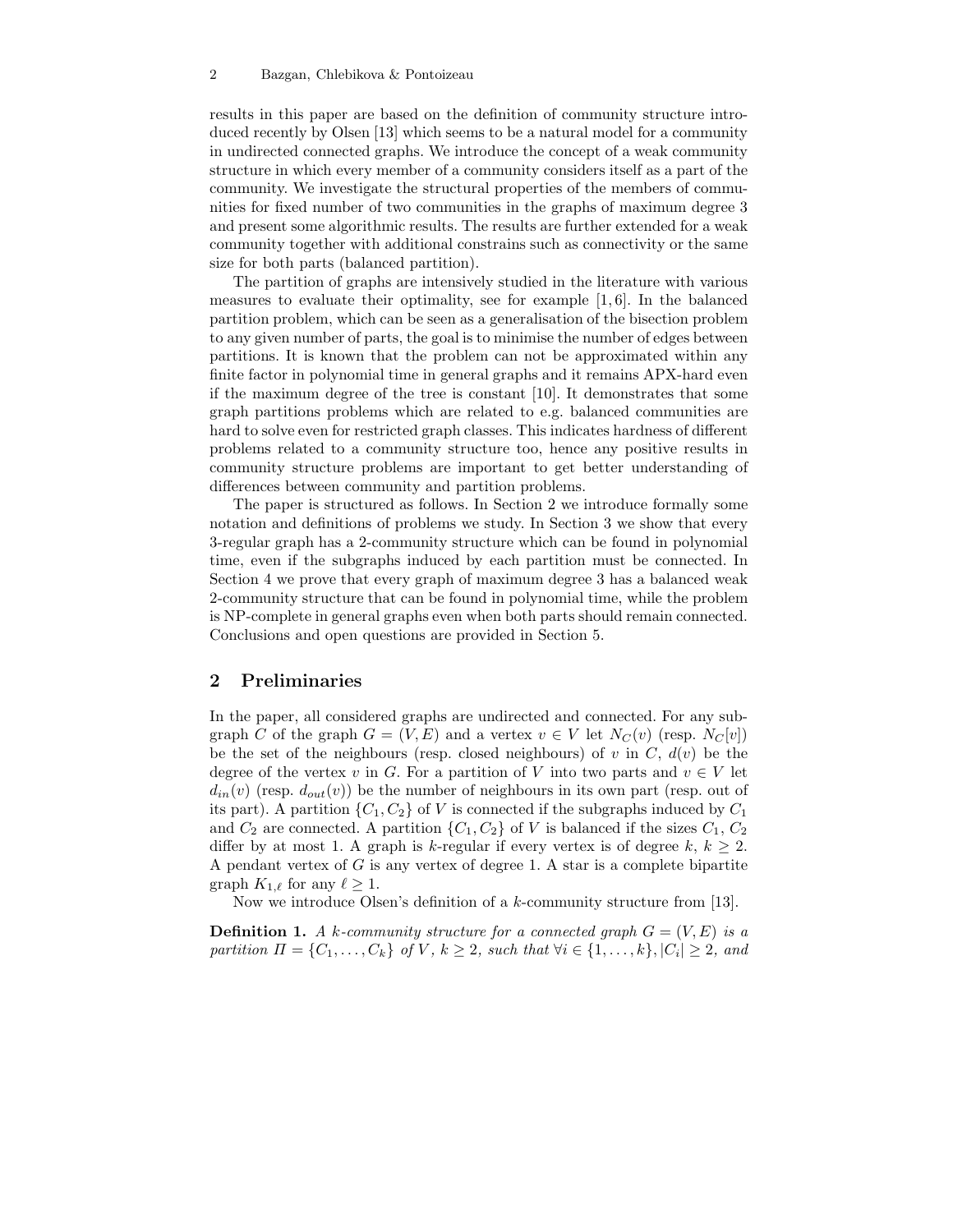results in this paper are based on the definition of community structure introduced recently by Olsen [13] which seems to be a natural model for a community in undirected connected graphs. We introduce the concept of a weak community structure in which every member of a community considers itself as a part of the community. We investigate the structural properties of the members of communities for fixed number of two communities in the graphs of maximum degree 3 and present some algorithmic results. The results are further extended for a weak community together with additional constrains such as connectivity or the same size for both parts (balanced partition).

The partition of graphs are intensively studied in the literature with various measures to evaluate their optimality, see for example [1, 6]. In the balanced partition problem, which can be seen as a generalisation of the bisection problem to any given number of parts, the goal is to minimise the number of edges between partitions. It is known that the problem can not be approximated within any finite factor in polynomial time in general graphs and it remains APX-hard even if the maximum degree of the tree is constant [10]. It demonstrates that some graph partitions problems which are related to e.g. balanced communities are hard to solve even for restricted graph classes. This indicates hardness of different problems related to a community structure too, hence any positive results in community structure problems are important to get better understanding of differences between community and partition problems.

The paper is structured as follows. In Section 2 we introduce formally some notation and definitions of problems we study. In Section 3 we show that every 3-regular graph has a 2-community structure which can be found in polynomial time, even if the subgraphs induced by each partition must be connected. In Section 4 we prove that every graph of maximum degree 3 has a balanced weak 2-community structure that can be found in polynomial time, while the problem is NP-complete in general graphs even when both parts should remain connected. Conclusions and open questions are provided in Section 5.

## 2 Preliminaries

In the paper, all considered graphs are undirected and connected. For any subgraph C of the graph  $G = (V, E)$  and a vertex  $v \in V$  let  $N_C(v)$  (resp.  $N_C[v]$ ) be the set of the neighbours (resp. closed neighbours) of v in  $C, d(v)$  be the degree of the vertex v in G. For a partition of V into two parts and  $v \in V$  let  $d_{in}(v)$  (resp.  $d_{out}(v)$ ) be the number of neighbours in its own part (resp. out of its part). A partition  $\{C_1, C_2\}$  of V is connected if the subgraphs induced by  $C_1$ and  $C_2$  are connected. A partition  $\{C_1, C_2\}$  of V is balanced if the sizes  $C_1, C_2$ differ by at most 1. A graph is k-regular if every vertex is of degree  $k, k \geq 2$ . A pendant vertex of G is any vertex of degree 1. A star is a complete bipartite graph  $K_{1,\ell}$  for any  $\ell \geq 1$ .

Now we introduce Olsen's definition of a k-community structure from [13].

**Definition 1.** A k-community structure for a connected graph  $G = (V, E)$  is a partition  $\Pi = \{C_1, \ldots, C_k\}$  of V,  $k \geq 2$ , such that  $\forall i \in \{1, \ldots, k\}, |C_i| \geq 2$ , and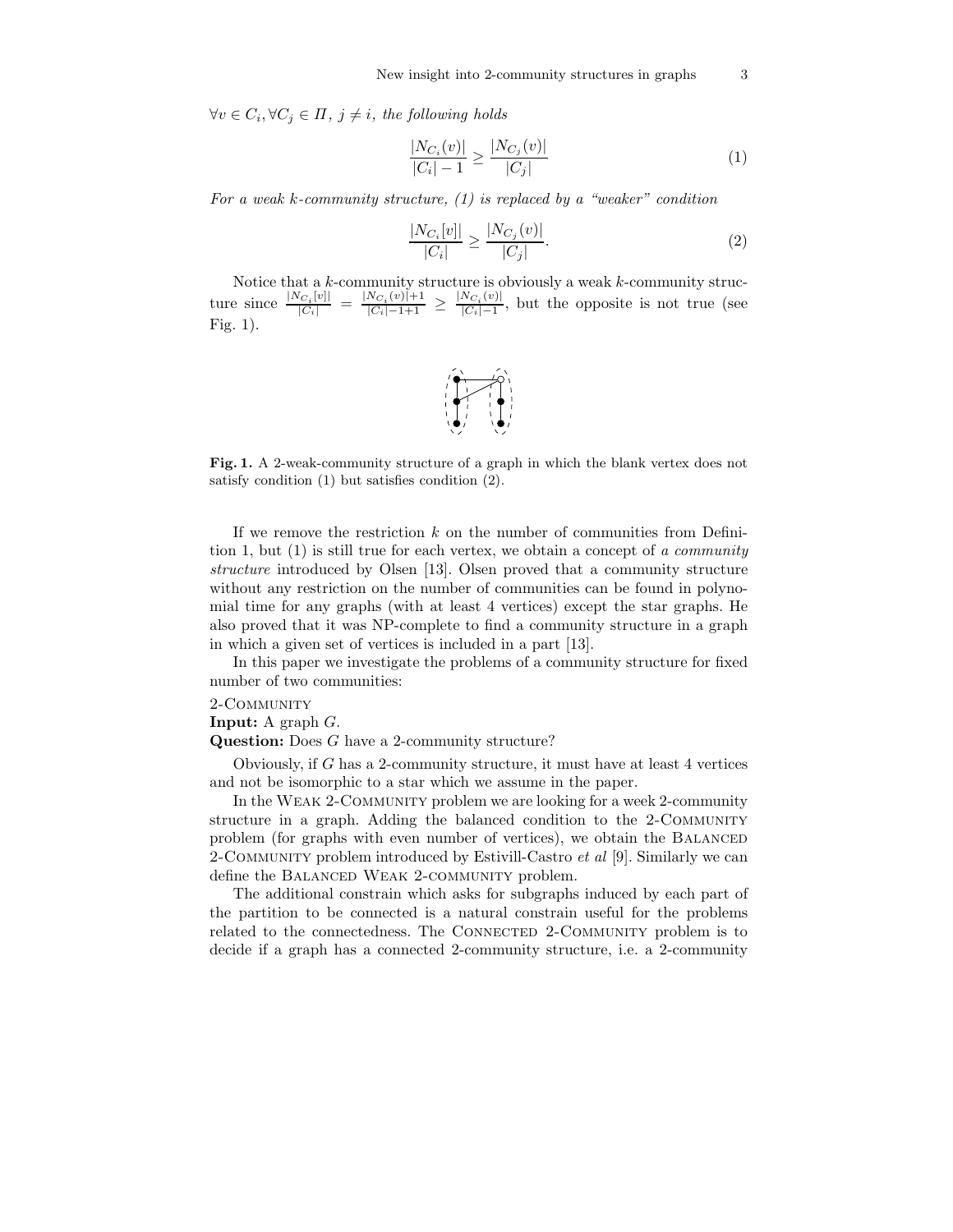$\forall v \in C_i, \forall C_j \in \Pi, j \neq i$ , the following holds

$$
\frac{|N_{C_i}(v)|}{|C_i| - 1} \ge \frac{|N_{C_j}(v)|}{|C_j|} \tag{1}
$$

For a weak k-community structure,  $(1)$  is replaced by a "weaker" condition

$$
\frac{|N_{C_i}[v]|}{|C_i|} \ge \frac{|N_{C_j}(v)|}{|C_j|}.\tag{2}
$$

Notice that a k-community structure is obviously a weak k-community structure since  $\frac{|N_{C_i}[v]|}{|C_i|} = \frac{|N_{C_i}(v)|+1}{|C_i|-1+1} \ge \frac{|N_{C_i}(v)|}{|C_i|-1}$  $\frac{NC_i(\theta)|}{|C_i|-1}$ , but the opposite is not true (see Fig. 1).



Fig. 1. A 2-weak-community structure of a graph in which the blank vertex does not satisfy condition (1) but satisfies condition (2).

If we remove the restriction  $k$  on the number of communities from Definition 1, but  $(1)$  is still true for each vertex, we obtain a concept of a community structure introduced by Olsen [13]. Olsen proved that a community structure without any restriction on the number of communities can be found in polynomial time for any graphs (with at least 4 vertices) except the star graphs. He also proved that it was NP-complete to find a community structure in a graph in which a given set of vertices is included in a part [13].

In this paper we investigate the problems of a community structure for fixed number of two communities:

#### 2-Community

**Input:** A graph  $G$ .

Question: Does G have a 2-community structure?

Obviously, if G has a 2-community structure, it must have at least 4 vertices and not be isomorphic to a star which we assume in the paper.

In the Weak 2-Community problem we are looking for a week 2-community structure in a graph. Adding the balanced condition to the 2-COMMUNITY problem (for graphs with even number of vertices), we obtain the BALANCED 2-COMMUNITY problem introduced by Estivill-Castro *et al* [9]. Similarly we can define the BALANCED WEAK 2-COMMUNITY problem.

The additional constrain which asks for subgraphs induced by each part of the partition to be connected is a natural constrain useful for the problems related to the connectedness. The CONNECTED 2-COMMUNITY problem is to decide if a graph has a connected 2-community structure, i.e. a 2-community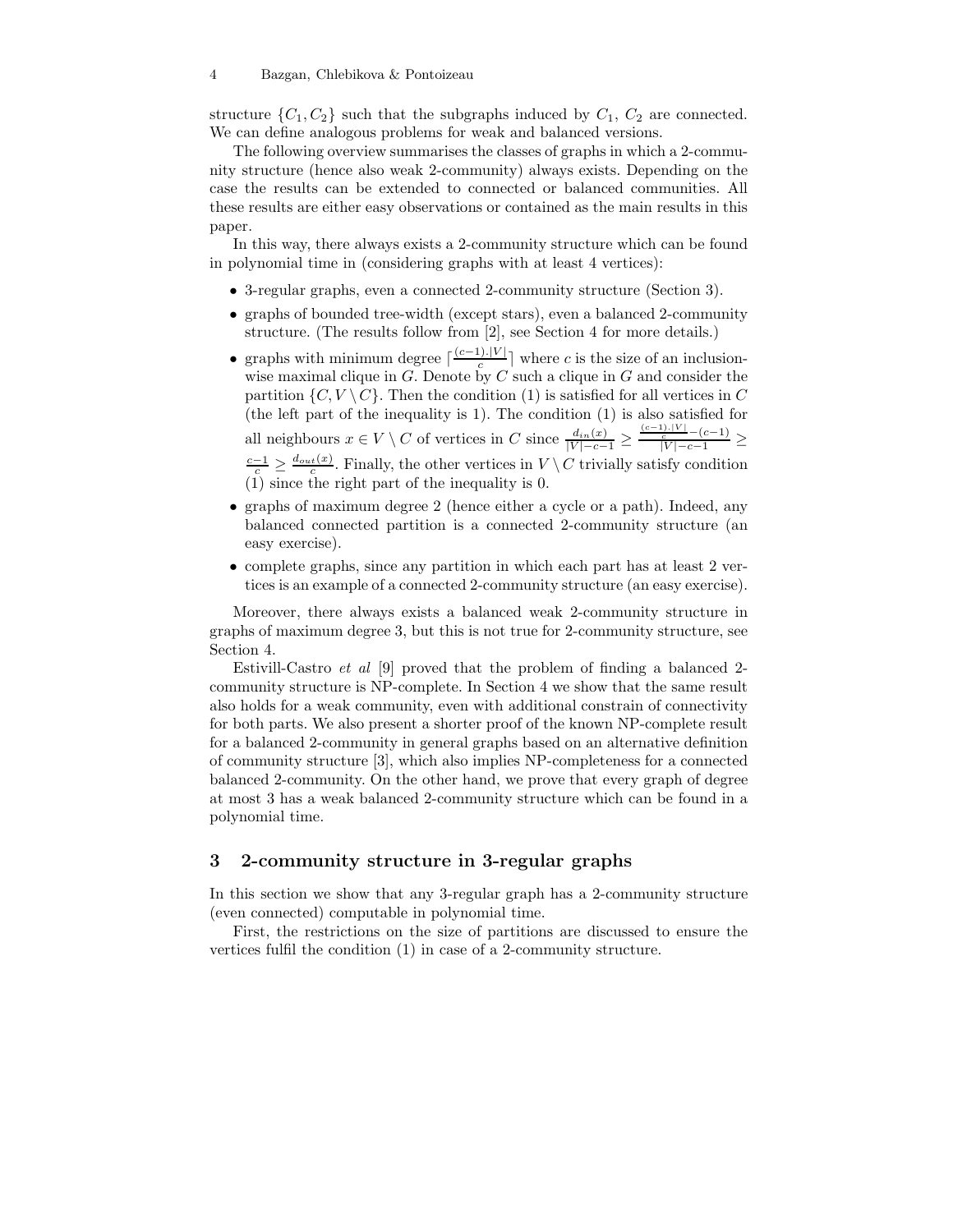structure  $\{C_1, C_2\}$  such that the subgraphs induced by  $C_1$ ,  $C_2$  are connected. We can define analogous problems for weak and balanced versions.

The following overview summarises the classes of graphs in which a 2-community structure (hence also weak 2-community) always exists. Depending on the case the results can be extended to connected or balanced communities. All these results are either easy observations or contained as the main results in this paper.

In this way, there always exists a 2-community structure which can be found in polynomial time in (considering graphs with at least 4 vertices):

- 3-regular graphs, even a connected 2-community structure (Section 3).
- graphs of bounded tree-width (except stars), even a balanced 2-community structure. (The results follow from [2], see Section 4 for more details.)
- graphs with minimum degree  $\lceil \frac{(c-1) |V|}{c} \rceil$ where c is the size of an inclusionwise maximal clique in  $G$ . Denote by  $C$  such a clique in  $G$  and consider the partition  $\{C, V \setminus C\}$ . Then the condition (1) is satisfied for all vertices in C (the left part of the inequality is 1). The condition (1) is also satisfied for

all neighbours  $x \in V \setminus C$  of vertices in  $C$  since  $\frac{d_{in}(x)}{|V| - c - 1} \ge \frac{\frac{(c-1) \cdot |V|}{c} - (c-1)}{|V| - c - 1} \ge$  $\frac{c-1}{c} \geq \frac{d_{out}(x)}{c}$ . Finally, the other vertices in  $V \setminus C$  trivially satisfy condition (1) since the right part of the inequality is 0.

- graphs of maximum degree 2 (hence either a cycle or a path). Indeed, any balanced connected partition is a connected 2-community structure (an easy exercise).
- complete graphs, since any partition in which each part has at least 2 vertices is an example of a connected 2-community structure (an easy exercise).

Moreover, there always exists a balanced weak 2-community structure in graphs of maximum degree 3, but this is not true for 2-community structure, see Section 4.

Estivill-Castro et al [9] proved that the problem of finding a balanced 2 community structure is NP-complete. In Section 4 we show that the same result also holds for a weak community, even with additional constrain of connectivity for both parts. We also present a shorter proof of the known NP-complete result for a balanced 2-community in general graphs based on an alternative definition of community structure [3], which also implies NP-completeness for a connected balanced 2-community. On the other hand, we prove that every graph of degree at most 3 has a weak balanced 2-community structure which can be found in a polynomial time.

## 3 2-community structure in 3-regular graphs

In this section we show that any 3-regular graph has a 2-community structure (even connected) computable in polynomial time.

First, the restrictions on the size of partitions are discussed to ensure the vertices fulfil the condition (1) in case of a 2-community structure.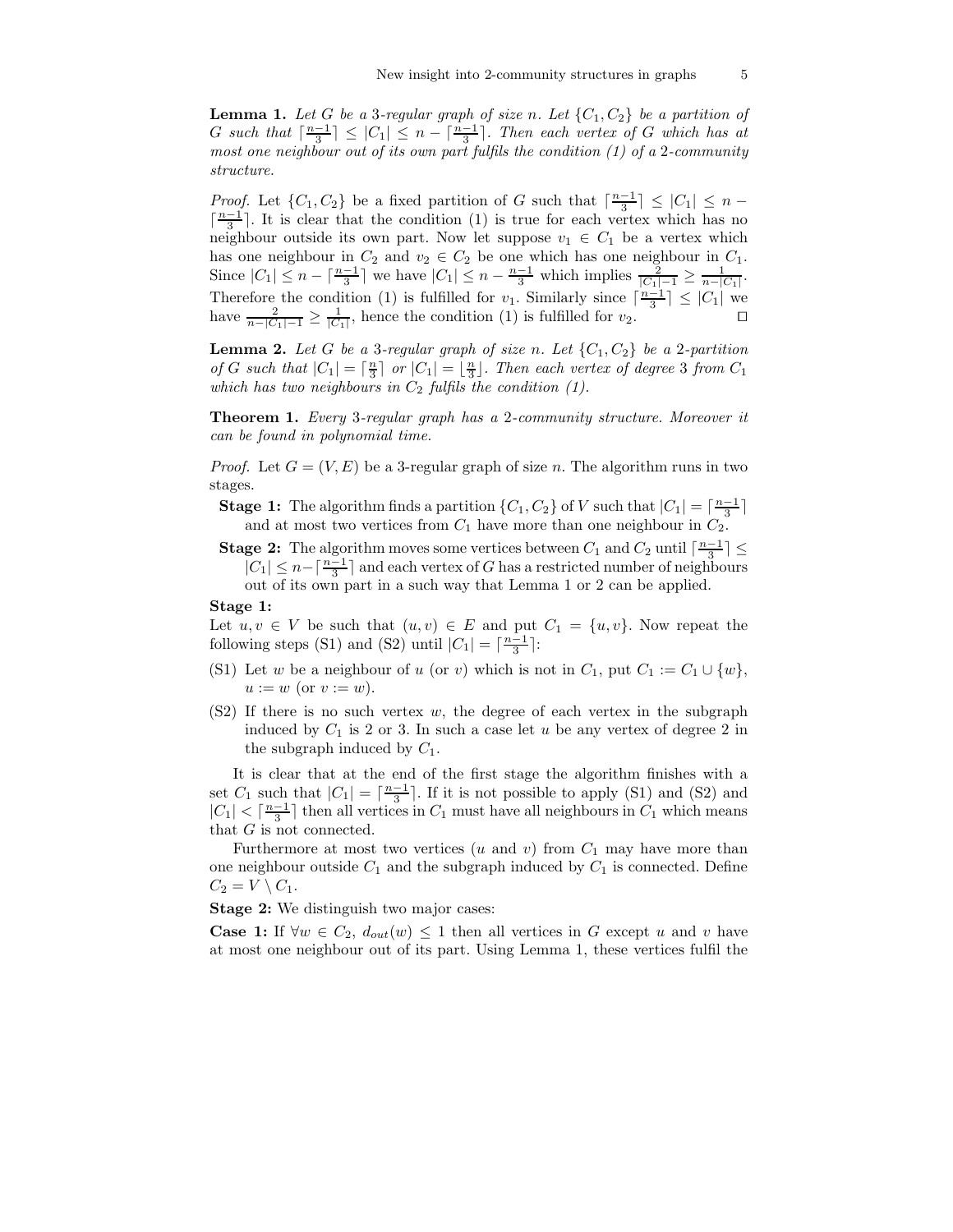**Lemma 1.** Let G be a 3-regular graph of size n. Let  $\{C_1, C_2\}$  be a partition of G such that  $\lceil \frac{n-1}{3} \rceil \leq |C_1| \leq n - \lceil \frac{n-1}{3} \rceil$ . Then each vertex of G which has at most one neighbour out of its own part fulfils the condition (1) of a 2-community structure.

*Proof.* Let  $\{C_1, C_2\}$  be a fixed partition of G such that  $\lceil \frac{n-1}{3} \rceil \leq |C_1| \leq n$  $\lceil \frac{n-1}{3} \rceil$ . It is clear that the condition (1) is true for each vertex which has no neighbour outside its own part. Now let suppose  $v_1 \in C_1$  be a vertex which has one neighbour in  $C_2$  and  $v_2 \in C_2$  be one which has one neighbour in  $C_1$ . Since  $|C_1| \le n - \lceil \frac{n-1}{3} \rceil$  we have  $|C_1| \le n - \frac{n-1}{3}$  which implies  $\frac{2}{|C_1| - 1} \ge \frac{1}{n - |C_1|}$ . Therefore the condition (1) is fulfilled for  $v_1$ . Similarly since  $\lceil \frac{n-1}{3} \rceil \leq |C_1|$  we have  $\frac{2}{n-|C_1|-1} \ge \frac{1}{|C_1|}$ , hence the condition (1) is fulfilled for  $v_2$ . □

**Lemma 2.** Let G be a 3-regular graph of size n. Let  $\{C_1, C_2\}$  be a 2-partition of G such that  $|C_1| = \lceil \frac{n}{3} \rceil$  or  $|C_1| = \lfloor \frac{n}{3} \rfloor$ . Then each vertex of degree 3 from  $C_1$ which has two neighbours in  $C_2$  fulfils the condition (1).

Theorem 1. Every 3-regular graph has a 2-community structure. Moreover it can be found in polynomial time.

*Proof.* Let  $G = (V, E)$  be a 3-regular graph of size n. The algorithm runs in two stages.

**Stage 1:** The algorithm finds a partition  $\{C_1, C_2\}$  of V such that  $|C_1| = \lceil \frac{n-1}{3} \rceil$ and at most two vertices from  $C_1$  have more than one neighbour in  $C_2$ .

**Stage 2:** The algorithm moves some vertices between  $C_1$  and  $C_2$  until  $\lceil \frac{n-1}{3} \rceil \leq$  $|C_1| \leq n - \lceil \frac{n-1}{3} \rceil$  and each vertex of G has a restricted number of neighbours out of its own part in a such way that Lemma 1 or 2 can be applied.

#### Stage 1:

Let  $u, v \in V$  be such that  $(u, v) \in E$  and put  $C_1 = \{u, v\}$ . Now repeat the following steps (S1) and (S2) until  $|C_1| = \lceil \frac{n-1}{3} \rceil$ :

- (S1) Let w be a neighbour of u (or v) which is not in  $C_1$ , put  $C_1 := C_1 \cup \{w\}$ ,  $u := w$  (or  $v := w$ ).
- $(S2)$  If there is no such vertex w, the degree of each vertex in the subgraph induced by  $C_1$  is 2 or 3. In such a case let u be any vertex of degree 2 in the subgraph induced by  $C_1$ .

It is clear that at the end of the first stage the algorithm finishes with a set  $C_1$  such that  $|C_1| = \lceil \frac{n-1}{3} \rceil$ . If it is not possible to apply (S1) and (S2) and  $|C_1| < \lceil \frac{n-1}{3} \rceil$  then all vertices in  $C_1$  must have all neighbours in  $C_1$  which means that G is not connected.

Furthermore at most two vertices (u and v) from  $C_1$  may have more than one neighbour outside  $C_1$  and the subgraph induced by  $C_1$  is connected. Define  $C_2 = V \setminus C_1$ .

Stage 2: We distinguish two major cases:

**Case 1:** If  $\forall w \in C_2$ ,  $d_{out}(w) \leq 1$  then all vertices in G except u and v have at most one neighbour out of its part. Using Lemma 1, these vertices fulfil the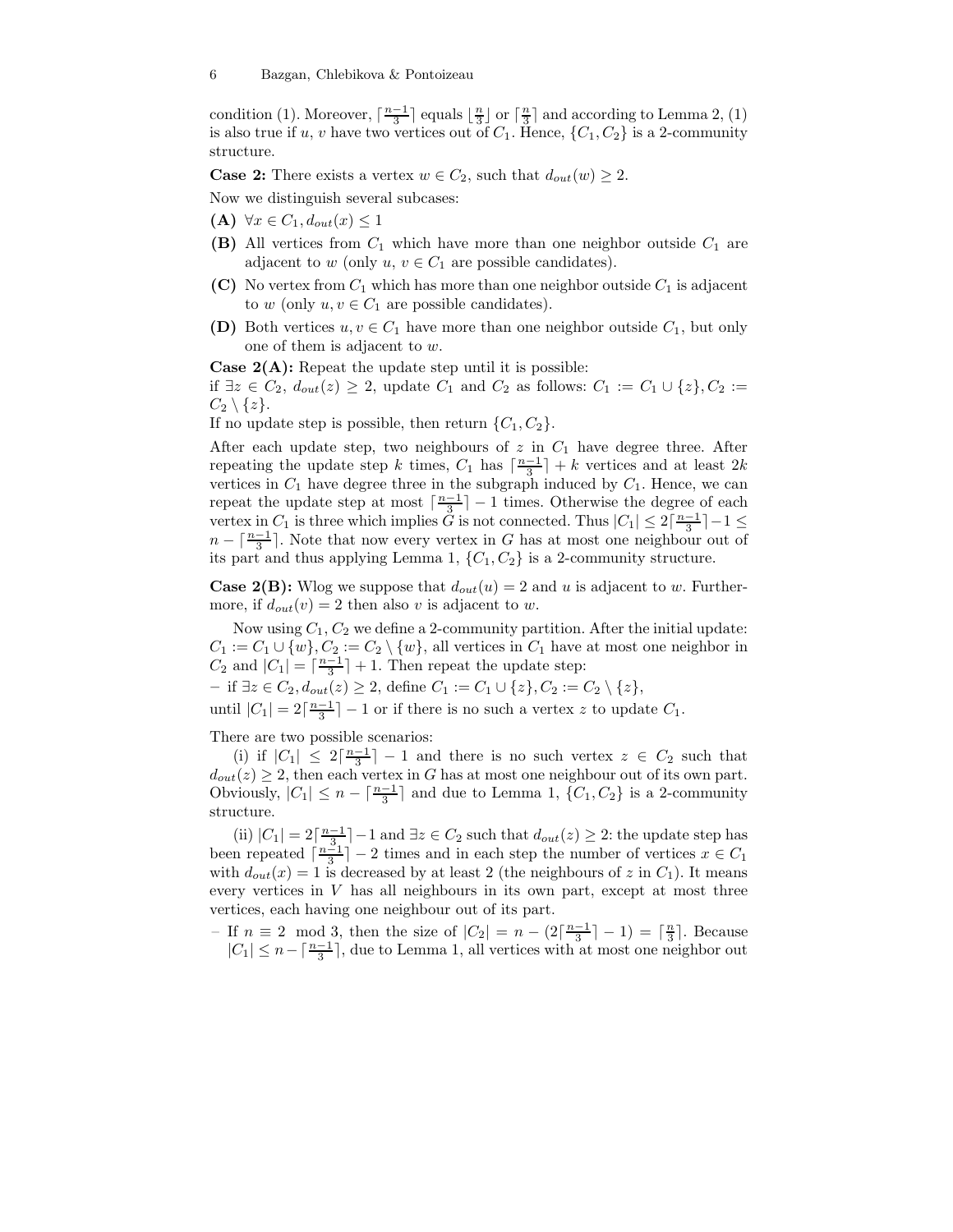condition (1). Moreover,  $\lceil \frac{n-1}{3} \rceil$  equals  $\lfloor \frac{n}{3} \rfloor$  or  $\lceil \frac{n}{3} \rceil$  and according to Lemma 2, (1) is also true if u, v have two vertices out of  $C_1$ . Hence,  $\{C_1, C_2\}$  is a 2-community structure.

**Case 2:** There exists a vertex  $w \in C_2$ , such that  $d_{out}(w) \geq 2$ .

Now we distinguish several subcases:

- (A)  $\forall x \in C_1, d_{out}(x) \leq 1$
- (B) All vertices from  $C_1$  which have more than one neighbor outside  $C_1$  are adjacent to w (only  $u, v \in C_1$  are possible candidates).
- (C) No vertex from  $C_1$  which has more than one neighbor outside  $C_1$  is adjacent to  $w$  (only  $u, v \in C_1$  are possible candidates).
- (D) Both vertices  $u, v \in C_1$  have more than one neighbor outside  $C_1$ , but only one of them is adjacent to w.

**Case 2(A):** Repeat the update step until it is possible: if  $\exists z \in C_2$ ,  $d_{out}(z) \geq 2$ , update  $C_1$  and  $C_2$  as follows:  $C_1 := C_1 \cup \{z\}, C_2 :=$  $C_2 \setminus \{z\}.$ 

If no update step is possible, then return  $\{C_1, C_2\}$ .

After each update step, two neighbours of  $z$  in  $C_1$  have degree three. After repeating the update step k times,  $C_1$  has  $\lceil \frac{n-1}{3} \rceil + k$  vertices and at least  $2k$ vertices in  $C_1$  have degree three in the subgraph induced by  $C_1$ . Hence, we can repeat the update step at most  $\lceil \frac{n-1}{3} \rceil - 1$  times. Otherwise the degree of each vertex in  $C_1$  is three which implies  $\tilde{G}$  is not connected. Thus  $|C_1| \leq 2\lceil \frac{n-1}{3} \rceil - 1 \leq$  $n - \lceil \frac{n-1}{3} \rceil$ . Note that now every vertex in G has at most one neighbour out of its part and thus applying Lemma 1,  $\{C_1, C_2\}$  is a 2-community structure.

**Case 2(B):** Wlog we suppose that  $d_{out}(u) = 2$  and u is adjacent to w. Furthermore, if  $d_{out}(v) = 2$  then also v is adjacent to w.

Now using  $C_1, C_2$  we define a 2-community partition. After the initial update:  $C_1 := C_1 \cup \{w\}, C_2 := C_2 \setminus \{w\}, \text{ all vertices in } C_1 \text{ have at most one neighbor in } C_2$  $C_2$  and  $|C_1| = \lceil \frac{n-1}{3} \rceil + 1$ . Then repeat the update step:

– if ∃z ∈  $C_2$ ,  $d_{out}(z) \geq 2$ , define  $C_1 := C_1 \cup \{z\}$ ,  $C_2 := C_2 \setminus \{z\}$ ,

until  $|C_1| = 2\lceil \frac{n-1}{3} \rceil - 1$  or if there is no such a vertex z to update  $C_1$ .

There are two possible scenarios:

(i) if  $|C_1| \leq 2\lceil \frac{n-1}{3} \rceil - 1$  and there is no such vertex  $z \in C_2$  such that  $d_{out}(z) \geq 2$ , then each vertex in G has at most one neighbour out of its own part. Obviously,  $|C_1| \leq n - \lceil \frac{n-1}{3} \rceil$  and due to Lemma 1,  $\{C_1, C_2\}$  is a 2-community structure.

(ii)  $|C_1| = 2\left[\frac{n-1}{3}\right] - 1$  and  $\exists z \in C_2$  such that  $d_{out}(z) \geq 2$ : the update step has been repeated  $\lceil \frac{n-1}{3} \rceil - 2$  times and in each step the number of vertices  $x \in C_1$ with  $d_{out}(x) = 1$  is decreased by at least 2 (the neighbours of z in  $C_1$ ). It means every vertices in  $V$  has all neighbours in its own part, except at most three vertices, each having one neighbour out of its part.

– If  $n \equiv 2 \mod 3$ , then the size of  $|C_2| = n - (2\lceil \frac{n-1}{3} \rceil - 1) = \lceil \frac{n}{3} \rceil$ . Because  $|C_1| \leq n - \lceil \frac{n-1}{3} \rceil$ , due to Lemma 1, all vertices with at most one neighbor out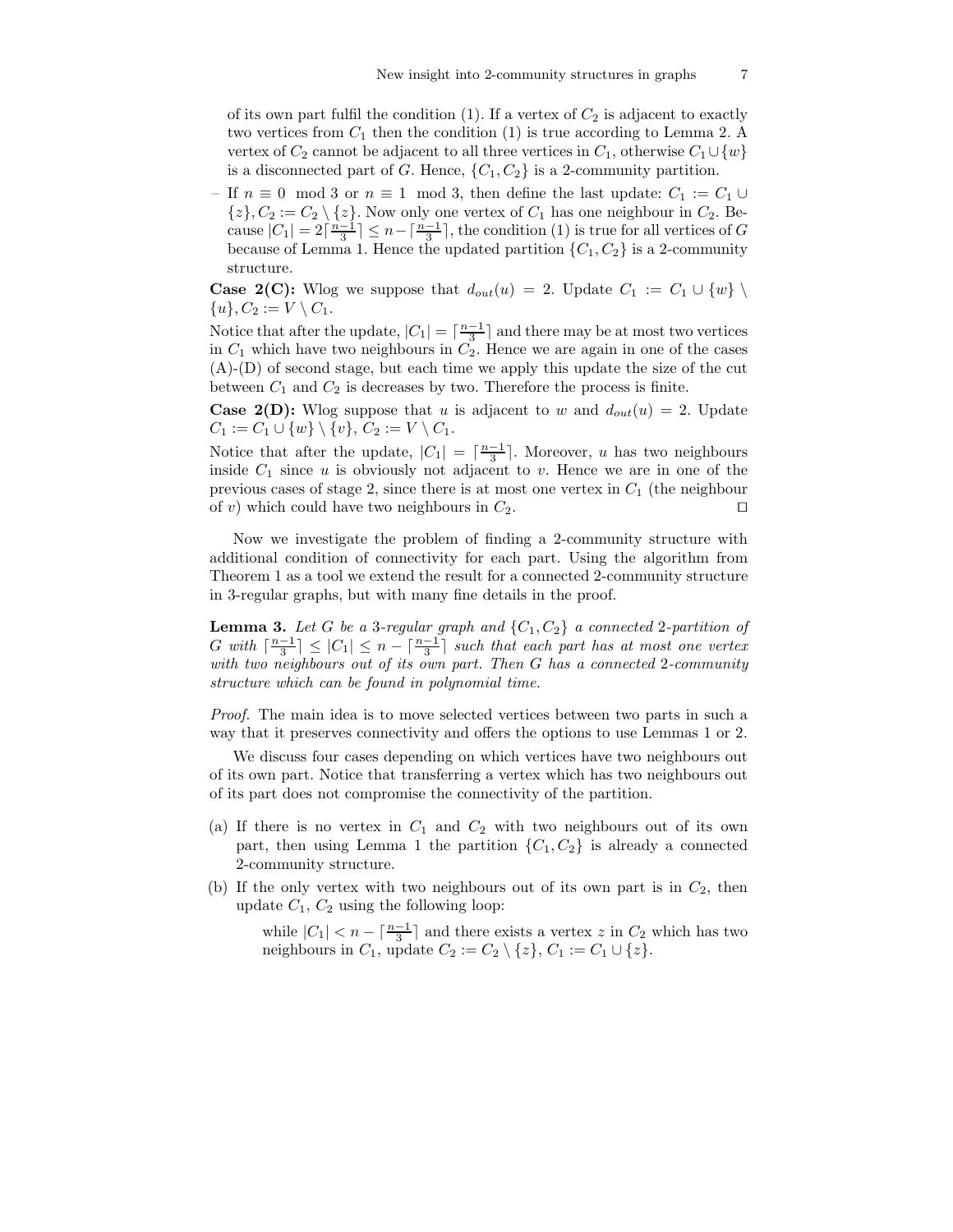of its own part fulfil the condition (1). If a vertex of  $C_2$  is adjacent to exactly two vertices from  $C_1$  then the condition (1) is true according to Lemma 2. A vertex of  $C_2$  cannot be adjacent to all three vertices in  $C_1$ , otherwise  $C_1 \cup \{w\}$ is a disconnected part of G. Hence,  $\{C_1, C_2\}$  is a 2-community partition.

If  $n \equiv 0 \mod 3$  or  $n \equiv 1 \mod 3$ , then define the last update:  $C_1 := C_1 \cup$  $\{z\}, C_2 := C_2 \setminus \{z\}.$  Now only one vertex of  $C_1$  has one neighbour in  $C_2$ . Because  $|C_1| = 2\lceil \frac{n-1}{3} \rceil \leq n - \lceil \frac{n-1}{3} \rceil$ , the condition (1) is true for all vertices of G because of Lemma 1. Hence the updated partition  $\{C_1, C_2\}$  is a 2-community structure.

**Case 2(C):** Wlog we suppose that  $d_{out}(u) = 2$ . Update  $C_1 := C_1 \cup \{w\}$  $\{u\}, C_2 := V \setminus C_1.$ 

Notice that after the update,  $|C_1| = \lceil \frac{n-1}{3} \rceil$  and there may be at most two vertices in  $C_1$  which have two neighbours in  $C_2$ . Hence we are again in one of the cases (A)-(D) of second stage, but each time we apply this update the size of the cut between  $C_1$  and  $C_2$  is decreases by two. Therefore the process is finite.

**Case 2(D):** Wlog suppose that u is adjacent to w and  $d_{out}(u) = 2$ . Update  $C_1 := C_1 \cup \{w\} \setminus \{v\}, C_2 := V \setminus C_1.$ 

Notice that after the update,  $|C_1| = \lceil \frac{n-1}{3} \rceil$ . Moreover, u has two neighbours inside  $C_1$  since u is obviously not adjacent to v. Hence we are in one of the previous cases of stage 2, since there is at most one vertex in  $C_1$  (the neighbour of v) which could have two neighbours in  $C_2$ . □

Now we investigate the problem of finding a 2-community structure with additional condition of connectivity for each part. Using the algorithm from Theorem 1 as a tool we extend the result for a connected 2-community structure in 3-regular graphs, but with many fine details in the proof.

**Lemma 3.** Let G be a 3-regular graph and  $\{C_1, C_2\}$  a connected 2-partition of G with  $\lceil \frac{n-1}{3} \rceil \leq |C_1| \leq n - \lceil \frac{n-1}{3} \rceil$  such that each part has at most one vertex with two neighbours out of its own part. Then G has a connected 2-community structure which can be found in polynomial time.

Proof. The main idea is to move selected vertices between two parts in such a way that it preserves connectivity and offers the options to use Lemmas 1 or 2.

We discuss four cases depending on which vertices have two neighbours out of its own part. Notice that transferring a vertex which has two neighbours out of its part does not compromise the connectivity of the partition.

- (a) If there is no vertex in  $C_1$  and  $C_2$  with two neighbours out of its own part, then using Lemma 1 the partition  $\{C_1, C_2\}$  is already a connected 2-community structure.
- (b) If the only vertex with two neighbours out of its own part is in  $C_2$ , then update  $C_1$ ,  $C_2$  using the following loop:

while  $|C_1| < n - \lceil \frac{n-1}{3} \rceil$  and there exists a vertex z in  $C_2$  which has two neighbours in  $C_1$ , update  $C_2 := C_2 \setminus \{z\}, C_1 := C_1 \cup \{z\}.$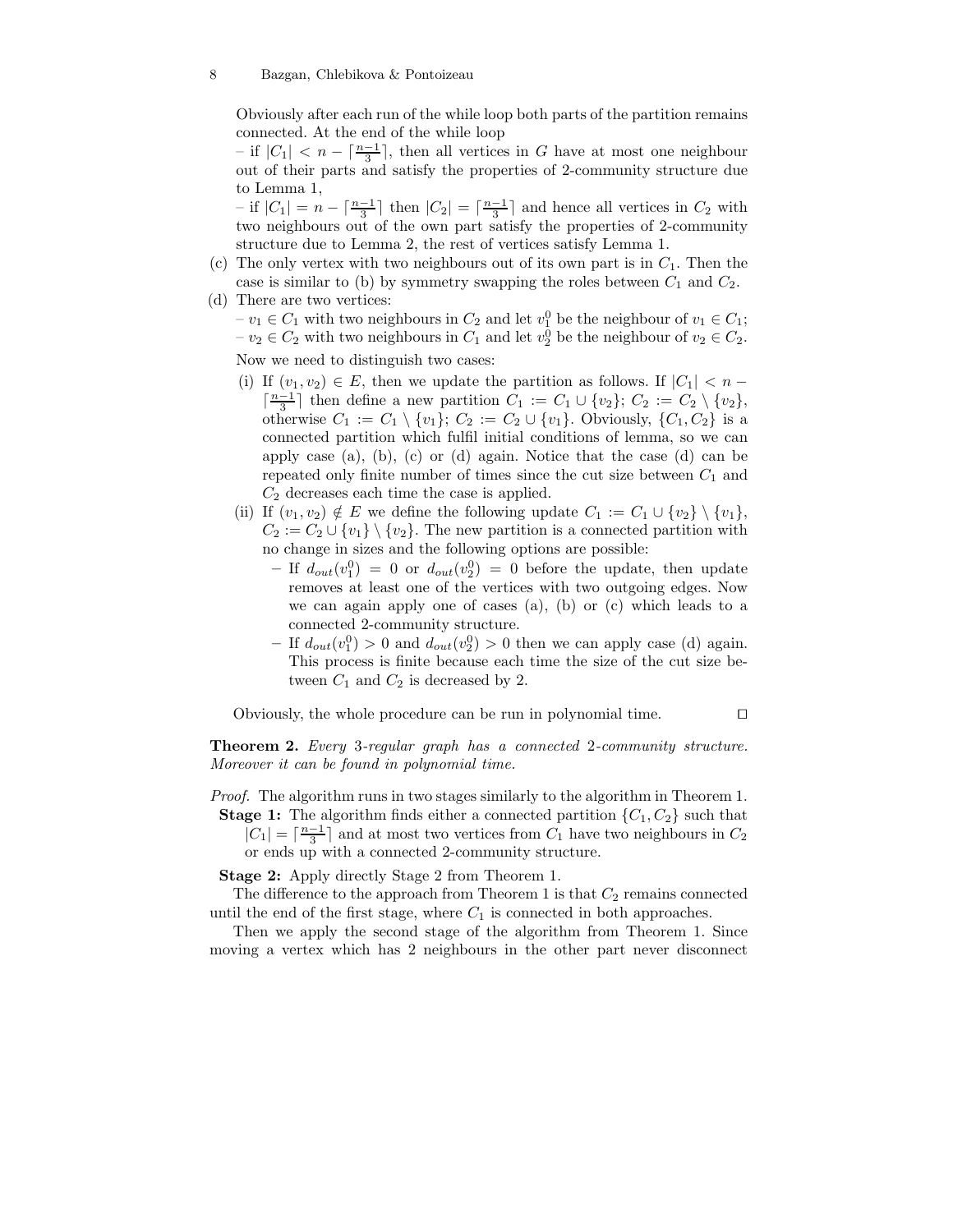Obviously after each run of the while loop both parts of the partition remains connected. At the end of the while loop

 $-$  if  $|C_1|$  <  $n - \lceil \frac{n-1}{3} \rceil$ , then all vertices in G have at most one neighbour out of their parts and satisfy the properties of 2-community structure due to Lemma 1,

– if  $|C_1| = n - \lceil \frac{n-1}{3} \rceil$  then  $|C_2| = \lceil \frac{n-1}{3} \rceil$  and hence all vertices in  $C_2$  with two neighbours out of the own part satisfy the properties of 2-community structure due to Lemma 2, the rest of vertices satisfy Lemma 1.

- (c) The only vertex with two neighbours out of its own part is in  $C_1$ . Then the case is similar to (b) by symmetry swapping the roles between  $C_1$  and  $C_2$ .
- (d) There are two vertices:  $- v_1 \in C_1$  with two neighbours in  $C_2$  and let  $v_1^0$  be the neighbour of  $v_1 \in C_1$ ;  $- v_2 \in C_2$  with two neighbours in  $C_1$  and let  $v_2^0$  be the neighbour of  $v_2 \in C_2$ .

Now we need to distinguish two cases:

- (i) If  $(v_1, v_2) \in E$ , then we update the partition as follows. If  $|C_1| < n \lceil \frac{n-1}{3} \rceil$  then define a new partition  $C_1 := C_1 \cup \{v_2\}$ ;  $C_2 := C_2 \setminus \{v_2\}$ , otherwise  $C_1 := C_1 \setminus \{v_1\}; C_2 := C_2 \cup \{v_1\}.$  Obviously,  $\{C_1, C_2\}$  is a connected partition which fulfil initial conditions of lemma, so we can apply case (a), (b), (c) or (d) again. Notice that the case (d) can be repeated only finite number of times since the cut size between  $C_1$  and  $C_2$  decreases each time the case is applied.
- (ii) If  $(v_1, v_2) \notin E$  we define the following update  $C_1 := C_1 \cup \{v_2\} \setminus \{v_1\},\$  $C_2 := C_2 \cup \{v_1\} \setminus \{v_2\}.$  The new partition is a connected partition with no change in sizes and the following options are possible:
	- If  $d_{out}(v_1^0) = 0$  or  $d_{out}(v_2^0) = 0$  before the update, then update removes at least one of the vertices with two outgoing edges. Now we can again apply one of cases (a), (b) or (c) which leads to a connected 2-community structure.
	- If  $d_{out}(v_1^0) > 0$  and  $d_{out}(v_2^0) > 0$  then we can apply case (d) again. This process is finite because each time the size of the cut size between  $C_1$  and  $C_2$  is decreased by 2.

Obviously, the whole procedure can be run in polynomial time. ⊓⊔

Theorem 2. Every 3-regular graph has a connected 2-community structure. Moreover it can be found in polynomial time.

Proof. The algorithm runs in two stages similarly to the algorithm in Theorem 1. **Stage 1:** The algorithm finds either a connected partition  $\{C_1, C_2\}$  such that

 $|C_1| = \lceil \frac{n-1}{3} \rceil$  and at most two vertices from  $C_1$  have two neighbours in  $C_2$ or ends up with a connected 2-community structure.

Stage 2: Apply directly Stage 2 from Theorem 1.

The difference to the approach from Theorem 1 is that  $C_2$  remains connected until the end of the first stage, where  $C_1$  is connected in both approaches.

Then we apply the second stage of the algorithm from Theorem 1. Since moving a vertex which has 2 neighbours in the other part never disconnect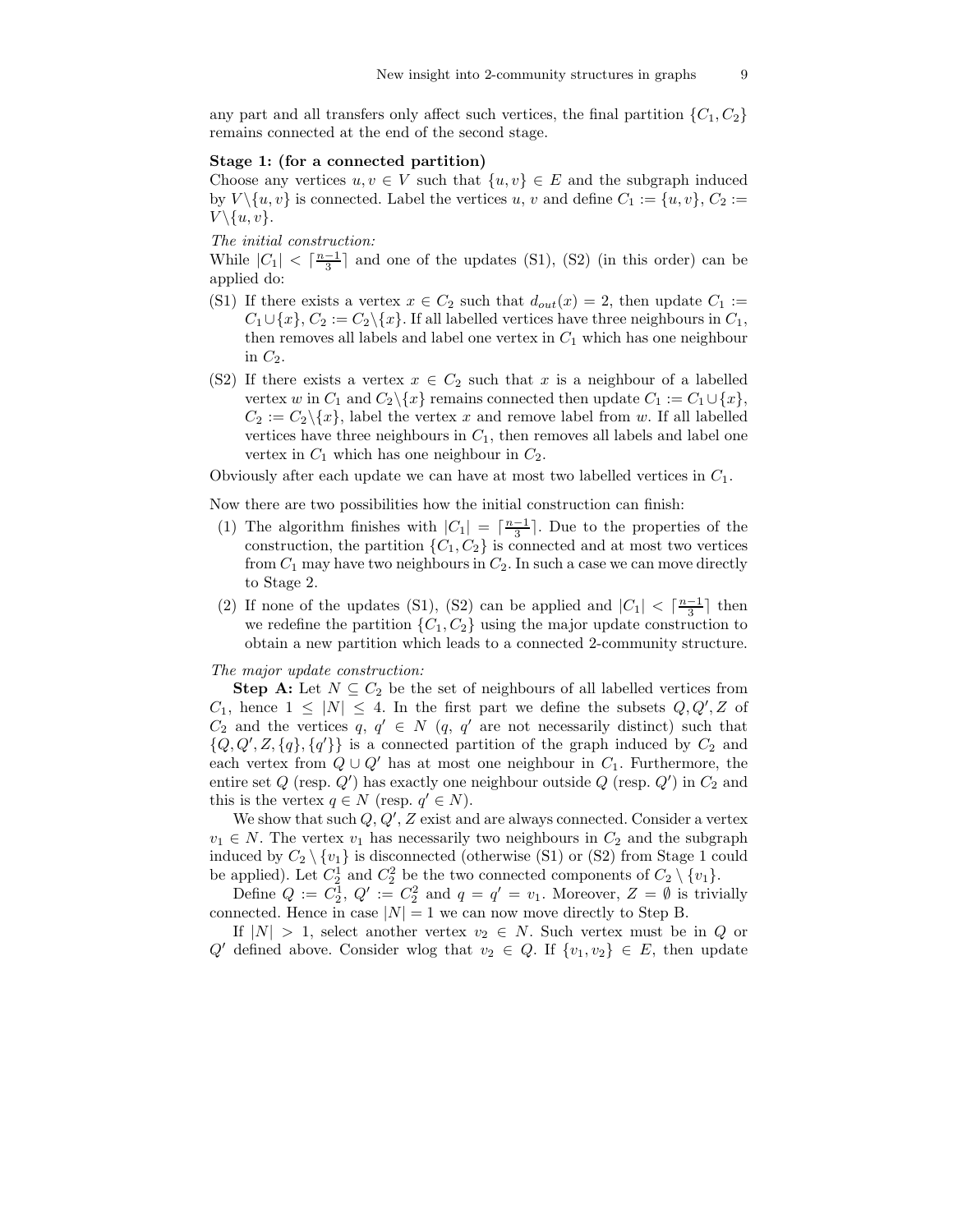any part and all transfers only affect such vertices, the final partition  ${C_1, C_2}$ remains connected at the end of the second stage.

## Stage 1: (for a connected partition)

Choose any vertices  $u, v \in V$  such that  $\{u, v\} \in E$  and the subgraph induced by  $V \setminus \{u, v\}$  is connected. Label the vertices u, v and define  $C_1 := \{u, v\}, C_2 :=$  $V \setminus \{u, v\}.$ 

## The initial construction:

While  $|C_1| < \lceil \frac{n-1}{3} \rceil$  and one of the updates (S1), (S2) (in this order) can be applied do:

- (S1) If there exists a vertex  $x \in C_2$  such that  $d_{out}(x) = 2$ , then update  $C_1 :=$  $C_1 \cup \{x\}, C_2 := C_2 \setminus \{x\}.$  If all labelled vertices have three neighbours in  $C_1$ , then removes all labels and label one vertex in  $C_1$  which has one neighbour in  $C_2$ .
- (S2) If there exists a vertex  $x \in C_2$  such that x is a neighbour of a labelled vertex w in  $C_1$  and  $C_2 \setminus \{x\}$  remains connected then update  $C_1 := C_1 \cup \{x\},\$  $C_2 := C_2 \setminus \{x\}$ , label the vertex x and remove label from w. If all labelled vertices have three neighbours in  $C_1$ , then removes all labels and label one vertex in  $C_1$  which has one neighbour in  $C_2$ .

Obviously after each update we can have at most two labelled vertices in  $C_1$ .

Now there are two possibilities how the initial construction can finish:

- (1) The algorithm finishes with  $|C_1| = \lceil \frac{n-1}{3} \rceil$ . Due to the properties of the construction, the partition  $\{C_1, C_2\}$  is connected and at most two vertices from  $C_1$  may have two neighbours in  $C_2$ . In such a case we can move directly to Stage 2.
- (2) If none of the updates (S1), (S2) can be applied and  $|C_1| < \lceil \frac{n-1}{3} \rceil$  then we redefine the partition  $\{C_1, C_2\}$  using the major update construction to obtain a new partition which leads to a connected 2-community structure.

## The major update construction:

**Step A:** Let  $N \subseteq C_2$  be the set of neighbours of all labelled vertices from  $C_1$ , hence  $1 \leq |N| \leq 4$ . In the first part we define the subsets  $Q, Q', Z$  of  $C_2$  and the vertices  $q, q' \in N$  (q, q' are not necessarily distinct) such that  ${Q, Q', Z, \{q\}, \{q'\}}$  is a connected partition of the graph induced by  $C_2$  and each vertex from  $Q \cup Q'$  has at most one neighbour in  $C_1$ . Furthermore, the entire set  $Q$  (resp.  $Q'$ ) has exactly one neighbour outside  $Q$  (resp.  $Q'$ ) in  $C_2$  and this is the vertex  $q \in N$  (resp.  $q' \in N$ ).

We show that such  $Q, Q', Z$  exist and are always connected. Consider a vertex  $v_1 \in N$ . The vertex  $v_1$  has necessarily two neighbours in  $C_2$  and the subgraph induced by  $C_2 \setminus \{v_1\}$  is disconnected (otherwise (S1) or (S2) from Stage 1 could be applied). Let  $C_2^1$  and  $C_2^2$  be the two connected components of  $C_2 \setminus \{v_1\}$ .

Define  $Q := C_2^1$ ,  $Q' := C_2^2$  and  $q = q' = v_1$ . Moreover,  $Z = \emptyset$  is trivially connected. Hence in case  $|N| = 1$  we can now move directly to Step B.

If  $|N| > 1$ , select another vertex  $v_2 \in N$ . Such vertex must be in Q or Q' defined above. Consider wlog that  $v_2 \in Q$ . If  $\{v_1, v_2\} \in E$ , then update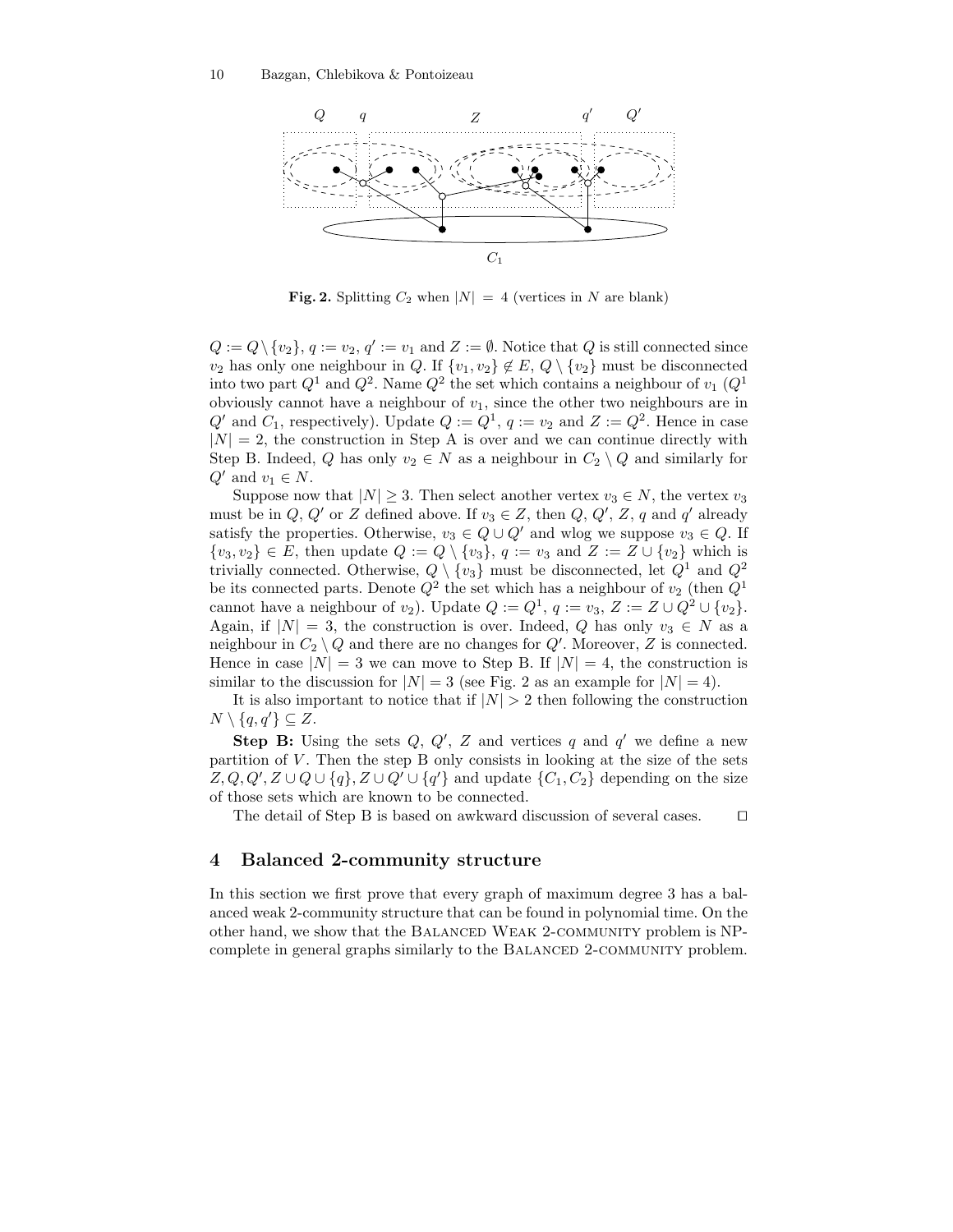

Fig. 2. Splitting  $C_2$  when  $|N| = 4$  (vertices in N are blank)

 $Q := Q \setminus \{v_2\}, q := v_2, q' := v_1 \text{ and } Z := \emptyset.$  Notice that  $Q$  is still connected since  $v_2$  has only one neighbour in Q. If  $\{v_1, v_2\} \notin E$ ,  $Q \setminus \{v_2\}$  must be disconnected into two part  $Q^1$  and  $Q^2$ . Name  $Q^2$  the set which contains a neighbour of  $v_1$   $(Q^1)$ obviously cannot have a neighbour of  $v_1$ , since the other two neighbours are in  $Q'$  and  $C_1$ , respectively). Update  $Q := Q^1$ ,  $q := v_2$  and  $Z := Q^2$ . Hence in case  $|N| = 2$ , the construction in Step A is over and we can continue directly with Step B. Indeed, Q has only  $v_2 \in N$  as a neighbour in  $C_2 \setminus Q$  and similarly for  $Q'$  and  $v_1 \in N$ .

Suppose now that  $|N| \geq 3$ . Then select another vertex  $v_3 \in N$ , the vertex  $v_3$ must be in  $Q, Q'$  or  $Z$  defined above. If  $v_3 \in Z$ , then  $Q, Q', Z, q$  and  $q'$  already satisfy the properties. Otherwise,  $v_3 \in Q \cup Q'$  and wlog we suppose  $v_3 \in Q$ . If  $\{v_3, v_2\} \in E$ , then update  $Q := Q \setminus \{v_3\}$ ,  $q := v_3$  and  $Z := Z \cup \{v_2\}$  which is trivially connected. Otherwise,  $Q \setminus \{v_3\}$  must be disconnected, let  $Q^1$  and  $Q^2$ be its connected parts. Denote  $Q^2$  the set which has a neighbour of  $v_2$  (then  $Q^1$ cannot have a neighbour of  $v_2$ ). Update  $Q := Q^1$ ,  $q := v_3$ ,  $Z := Z \cup Q^2 \cup \{v_2\}$ . Again, if  $|N| = 3$ , the construction is over. Indeed, Q has only  $v_3 \in N$  as a neighbour in  $C_2 \setminus Q$  and there are no changes for  $Q'$ . Moreover, Z is connected. Hence in case  $|N| = 3$  we can move to Step B. If  $|N| = 4$ , the construction is similar to the discussion for  $|N| = 3$  (see Fig. 2 as an example for  $|N| = 4$ ).

It is also important to notice that if  $|N| > 2$  then following the construction  $N \setminus \{q, q'\} \subseteq Z$ .

**Step B:** Using the sets  $Q, Q', Z$  and vertices q and q' we define a new partition of  $V$ . Then the step  $B$  only consists in looking at the size of the sets  $Z, Q, Q', Z \cup Q \cup \{q\}, Z \cup Q' \cup \{q'\}$  and update  $\{C_1, C_2\}$  depending on the size of those sets which are known to be connected.

The detail of Step B is based on awkward discussion of several cases. □

## 4 Balanced 2-community structure

In this section we first prove that every graph of maximum degree 3 has a balanced weak 2-community structure that can be found in polynomial time. On the other hand, we show that the BALANCED WEAK 2-COMMUNITY problem is NPcomplete in general graphs similarly to the BALANCED 2-COMMUNITY problem.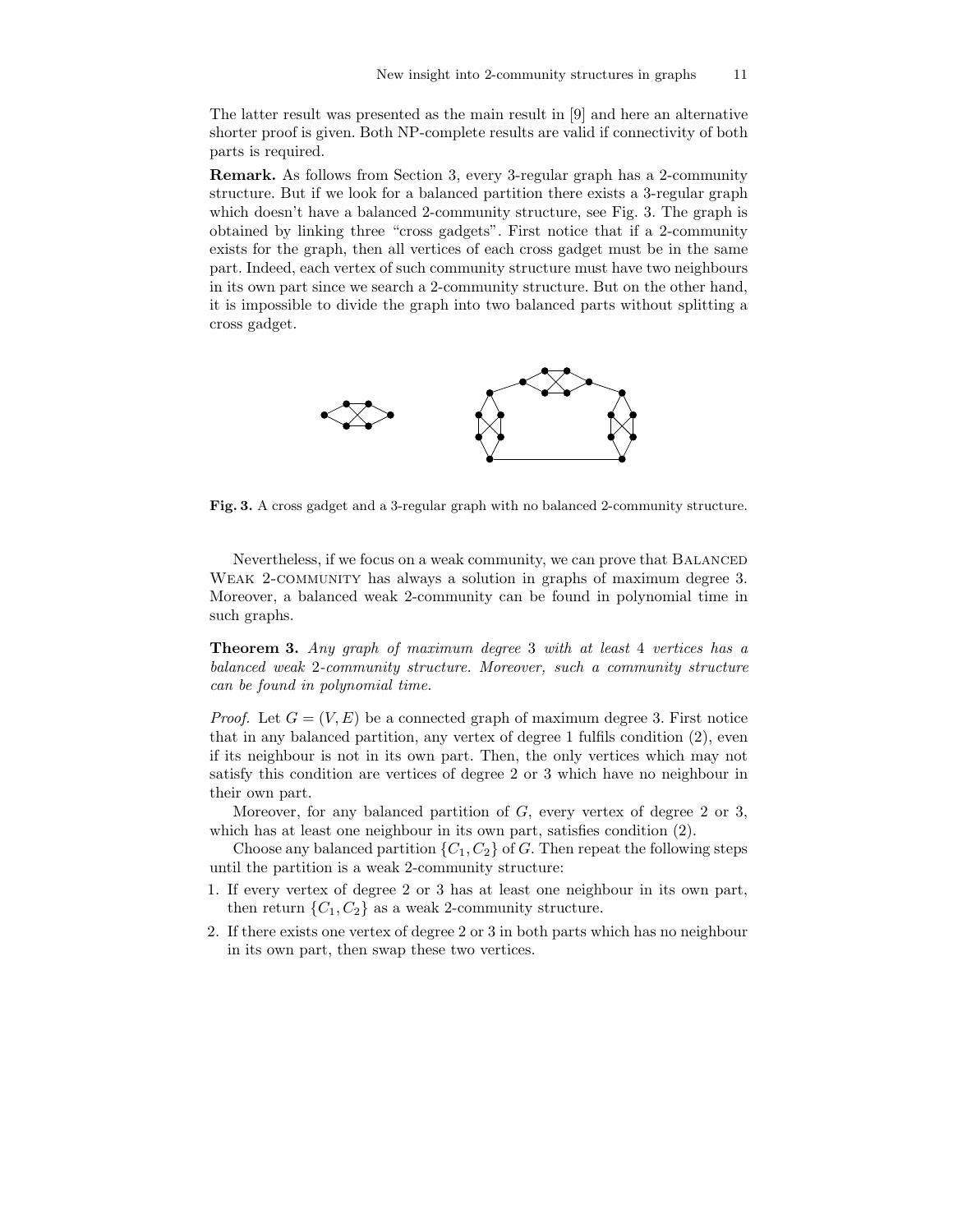The latter result was presented as the main result in [9] and here an alternative shorter proof is given. Both NP-complete results are valid if connectivity of both parts is required.

Remark. As follows from Section 3, every 3-regular graph has a 2-community structure. But if we look for a balanced partition there exists a 3-regular graph which doesn't have a balanced 2-community structure, see Fig. 3. The graph is obtained by linking three "cross gadgets". First notice that if a 2-community exists for the graph, then all vertices of each cross gadget must be in the same part. Indeed, each vertex of such community structure must have two neighbours in its own part since we search a 2-community structure. But on the other hand, it is impossible to divide the graph into two balanced parts without splitting a cross gadget.



Fig. 3. A cross gadget and a 3-regular graph with no balanced 2-community structure.

Nevertheless, if we focus on a weak community, we can prove that Balanced WEAK 2-COMMUNITY has always a solution in graphs of maximum degree 3. Moreover, a balanced weak 2-community can be found in polynomial time in such graphs.

Theorem 3. Any graph of maximum degree 3 with at least 4 vertices has a balanced weak 2-community structure. Moreover, such a community structure can be found in polynomial time.

*Proof.* Let  $G = (V, E)$  be a connected graph of maximum degree 3. First notice that in any balanced partition, any vertex of degree 1 fulfils condition (2), even if its neighbour is not in its own part. Then, the only vertices which may not satisfy this condition are vertices of degree 2 or 3 which have no neighbour in their own part.

Moreover, for any balanced partition of  $G$ , every vertex of degree 2 or 3, which has at least one neighbour in its own part, satisfies condition (2).

Choose any balanced partition  $\{C_1, C_2\}$  of G. Then repeat the following steps until the partition is a weak 2-community structure:

- 1. If every vertex of degree 2 or 3 has at least one neighbour in its own part, then return  $\{C_1, C_2\}$  as a weak 2-community structure.
- 2. If there exists one vertex of degree 2 or 3 in both parts which has no neighbour in its own part, then swap these two vertices.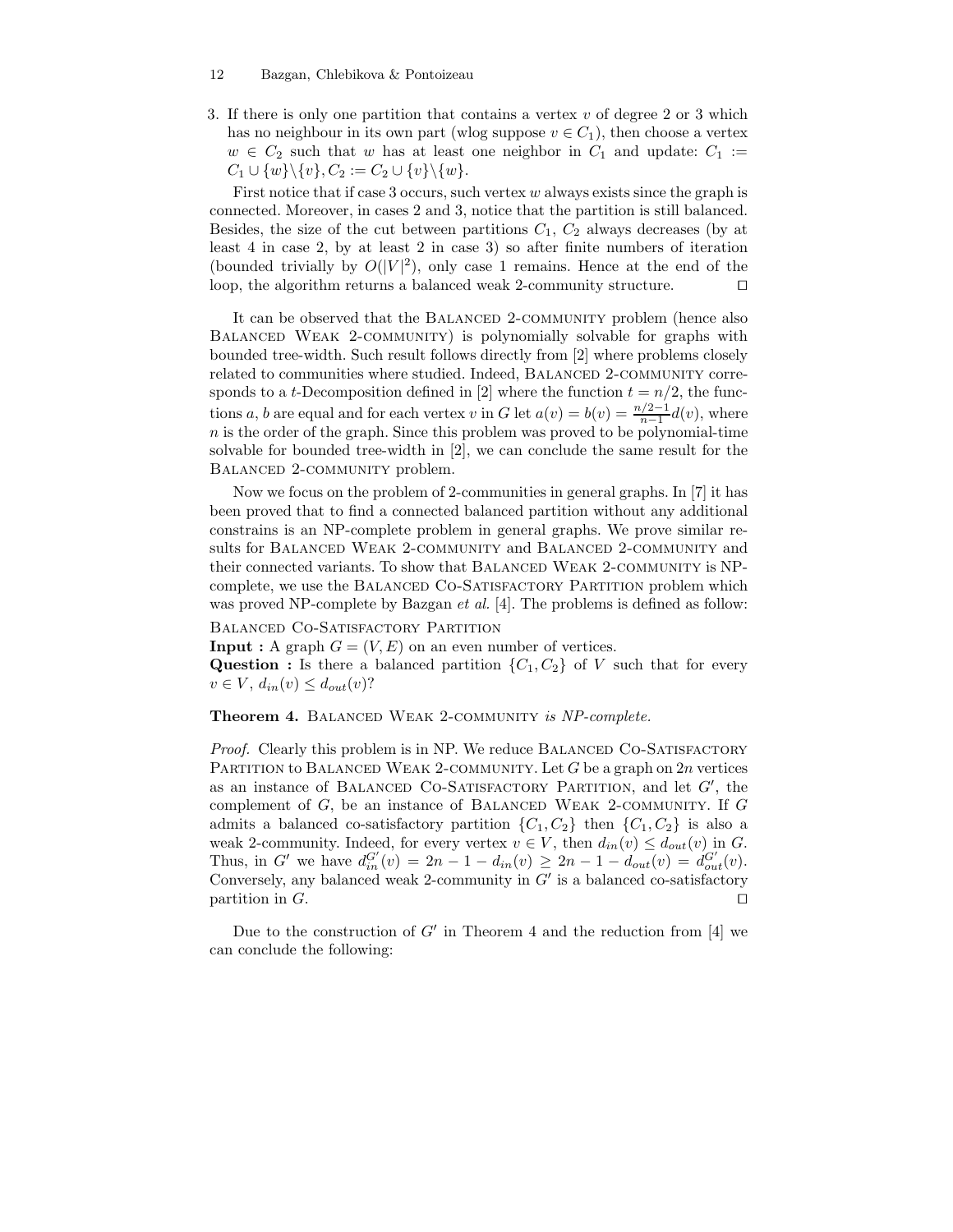3. If there is only one partition that contains a vertex  $v$  of degree 2 or 3 which has no neighbour in its own part (wlog suppose  $v \in C_1$ ), then choose a vertex  $w \in C_2$  such that w has at least one neighbor in  $C_1$  and update:  $C_1 :=$  $C_1 \cup \{w\} \backslash \{v\}, C_2 := C_2 \cup \{v\} \backslash \{w\}.$ 

First notice that if case 3 occurs, such vertex  $w$  always exists since the graph is connected. Moreover, in cases 2 and 3, notice that the partition is still balanced. Besides, the size of the cut between partitions  $C_1$ ,  $C_2$  always decreases (by at least 4 in case 2, by at least 2 in case 3) so after finite numbers of iteration (bounded trivially by  $O(|V|^2)$ , only case 1 remains. Hence at the end of the loop, the algorithm returns a balanced weak 2-community structure. ⊓⊔

It can be observed that the BALANCED 2-COMMUNITY problem (hence also BALANCED WEAK 2-COMMUNITY) is polynomially solvable for graphs with bounded tree-width. Such result follows directly from [2] where problems closely related to communities where studied. Indeed, BALANCED 2-COMMUNITY corresponds to a *t*-Decomposition defined in [2] where the function  $t = n/2$ , the functions a, b are equal and for each vertex v in G let  $a(v) = b(v) = \frac{n/2-1}{n-1}d(v)$ , where  $n$  is the order of the graph. Since this problem was proved to be polynomial-time solvable for bounded tree-width in [2], we can conclude the same result for the BALANCED 2-COMMUNITY problem.

Now we focus on the problem of 2-communities in general graphs. In [7] it has been proved that to find a connected balanced partition without any additional constrains is an NP-complete problem in general graphs. We prove similar results for BALANCED WEAK 2-COMMUNITY and BALANCED 2-COMMUNITY and their connected variants. To show that BALANCED WEAK 2-COMMUNITY is NPcomplete, we use the BALANCED CO-SATISFACTORY PARTITION problem which was proved NP-complete by Bazgan *et al.* [4]. The problems is defined as follow:

BALANCED CO-SATISFACTORY PARTITION

**Input**: A graph  $G = (V, E)$  on an even number of vertices.

Question : Is there a balanced partition  $\{C_1, C_2\}$  of V such that for every  $v \in V$ ,  $d_{in}(v) \leq d_{out}(v)$ ?

## Theorem 4. BALANCED WEAK 2-COMMUNITY is NP-complete.

Proof. Clearly this problem is in NP. We reduce BALANCED CO-SATISFACTORY PARTITION to BALANCED WEAK 2-COMMUNITY. Let  $G$  be a graph on  $2n$  vertices as an instance of BALANCED CO-SATISFACTORY PARTITION, and let  $G'$ , the complement of  $G$ , be an instance of BALANCED WEAK 2-COMMUNITY. If  $G$ admits a balanced co-satisfactory partition  $\{C_1, C_2\}$  then  $\{C_1, C_2\}$  is also a weak 2-community. Indeed, for every vertex  $v \in V$ , then  $d_{in}(v) \leq d_{out}(v)$  in G. Thus, in G' we have  $d_{in}^{G'}(v) = 2n - 1 - d_{in}(v) \ge 2n - 1 - d_{out}(v) = d_{out}^{G'}(v)$ . Conversely, any balanced weak 2-community in  $G'$  is a balanced co-satisfactory partition in G. □

Due to the construction of  $G'$  in Theorem 4 and the reduction from [4] we can conclude the following: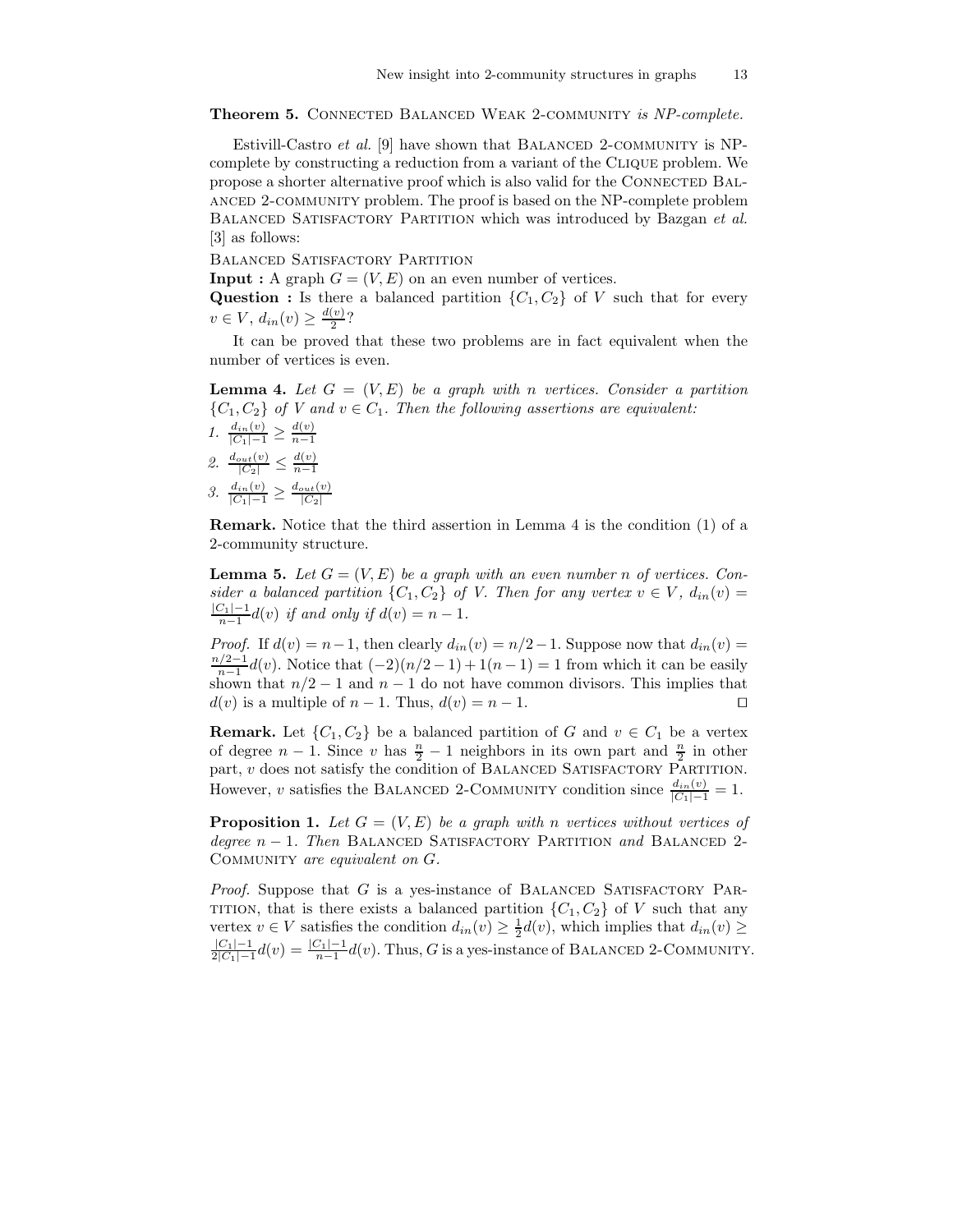Theorem 5. CONNECTED BALANCED WEAK 2-COMMUNITY is NP-complete.

Estivill-Castro et al. [9] have shown that BALANCED 2-COMMUNITY is NPcomplete by constructing a reduction from a variant of the Clique problem. We propose a shorter alternative proof which is also valid for the Connected Balanced 2-community problem. The proof is based on the NP-complete problem BALANCED SATISFACTORY PARTITION which was introduced by Bazgan et al. [3] as follows:

Balanced Satisfactory Partition

**Input**: A graph  $G = (V, E)$  on an even number of vertices.

**Question :** Is there a balanced partition  $\{C_1, C_2\}$  of V such that for every  $v \in V$ ,  $d_{in}(v) \geq \frac{d(v)}{2}$  $\frac{\binom{v}{2}}{2}$ ?

It can be proved that these two problems are in fact equivalent when the number of vertices is even.

**Lemma 4.** Let  $G = (V, E)$  be a graph with n vertices. Consider a partition  ${C_1, C_2}$  of V and  $v \in C_1$ . Then the following assertions are equivalent:

1.  $\frac{d_{in}(v)}{|C_1|-1} \geq \frac{d(v)}{n-1}$  $n-1$ 2.  $\frac{d_{out}(v)}{|C_2|} \leq \frac{d(v)}{n-1}$  $n-1$ 3.  $\frac{d_{in}(v)}{|C_1|-1} \geq \frac{d_{out}(v)}{|C_2|}$  $|C_2|$ 

Remark. Notice that the third assertion in Lemma 4 is the condition (1) of a 2-community structure.

**Lemma 5.** Let  $G = (V, E)$  be a graph with an even number n of vertices. Consider a balanced partition  $\{C_1, C_2\}$  of V. Then for any vertex  $v \in V$ ,  $d_{in}(v) =$  $\frac{|C_1|-1}{n-1}$ d $(v)$  if and only if  $d(v) = n-1$ .

*Proof.* If  $d(v) = n-1$ , then clearly  $d_{in}(v) = n/2-1$ . Suppose now that  $d_{in}(v) =$ n/2−1  $\frac{1}{n-1}d(v)$ . Notice that  $(-2)(n/2-1)+1(n-1)=1$  from which it can be easily shown that  $n/2 - 1$  and  $n - 1$  do not have common divisors. This implies that  $d(v)$  is a multiple of  $n-1$ . Thus,  $d(v) = n-1$ . □

**Remark.** Let  $\{C_1, C_2\}$  be a balanced partition of G and  $v \in C_1$  be a vertex of degree  $n-1$ . Since v has  $\frac{n}{2}-1$  neighbors in its own part and  $\frac{n}{2}$  in other part,  $v$  does not satisfy the condition of BALANCED SATISFACTORY PARTITION. However, v satisfies the BALANCED 2-COMMUNITY condition since  $\frac{d_{in}(v)}{|C_1|-1} = 1$ .

**Proposition 1.** Let  $G = (V, E)$  be a graph with n vertices without vertices of degree  $n-1$ . Then BALANCED SATISFACTORY PARTITION and BALANCED 2-COMMUNITY are equivalent on G.

*Proof.* Suppose that  $G$  is a yes-instance of BALANCED SATISFACTORY PAR-TITION, that is there exists a balanced partition  $\{C_1, C_2\}$  of V such that any vertex  $v \in V$  satisfies the condition  $d_{in}(v) \geq \frac{1}{2}d(v)$ , which implies that  $d_{in}(v) \geq$  $|C_1|-1$  $\frac{|C_1| - 1}{2|C_1| - 1}$  $d(v) = \frac{|C_1| - 1}{n-1}$  $d(v)$ . Thus, G is a yes-instance of BALANCED 2-COMMUNITY.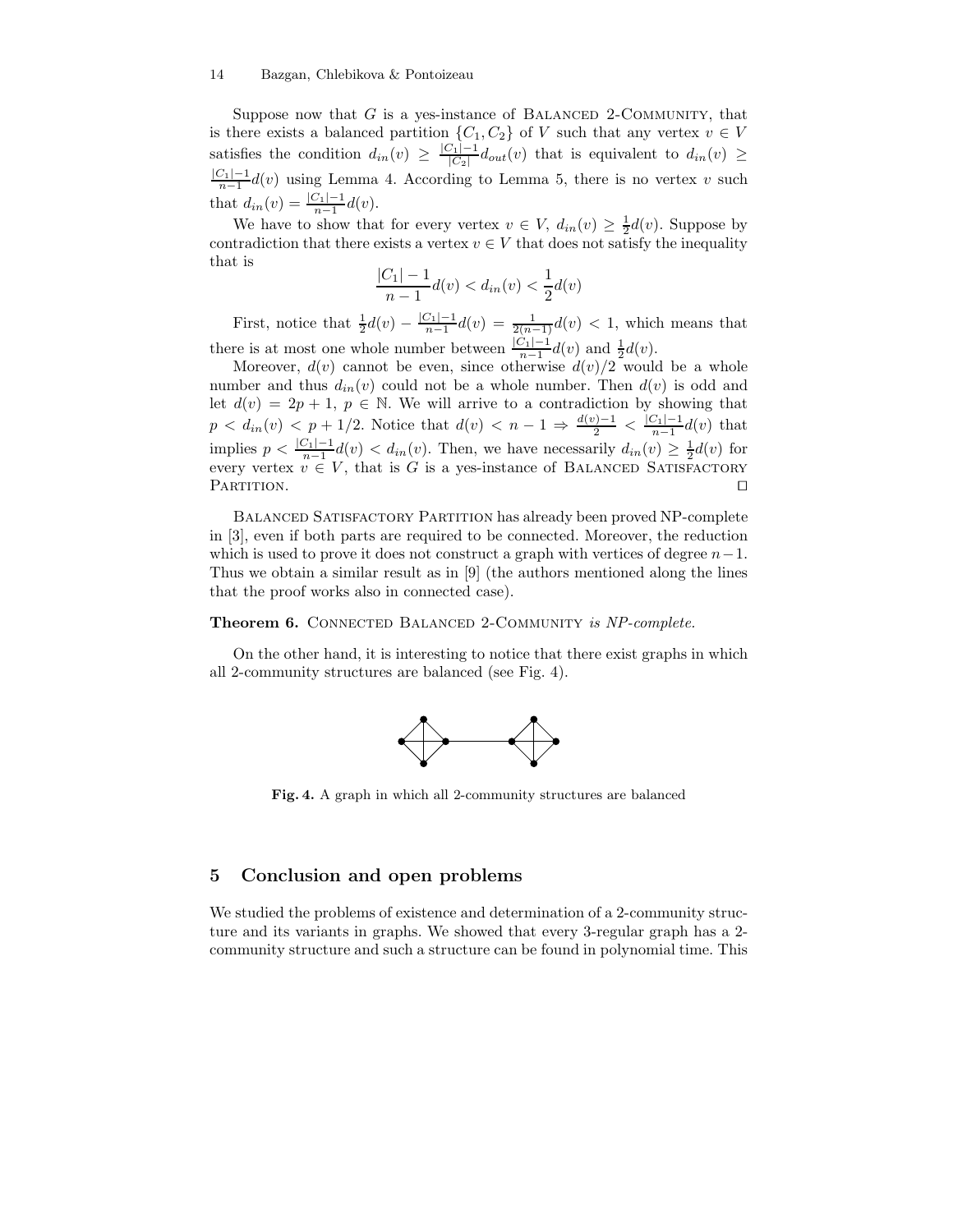Suppose now that  $G$  is a yes-instance of BALANCED 2-COMMUNITY, that is there exists a balanced partition  $\{C_1, C_2\}$  of V such that any vertex  $v \in V$ satisfies the condition  $d_{in}(v) \geq \frac{|C_1| - 1}{|C_2|}$  $\frac{C_1|C_1|}{|C_2|}d_{out}(v)$  that is equivalent to  $d_{in}(v) \ge$  $\frac{|C_1|-1}{n-1}$ d(v) using Lemma 4. According to Lemma 5, there is no vertex v such that  $d_{in}(v) = \frac{|C_1| - 1}{n - 1} d(v)$ .

We have to show that for every vertex  $v \in V$ ,  $d_{in}(v) \geq \frac{1}{2}d(v)$ . Suppose by contradiction that there exists a vertex  $v \in V$  that does not satisfy the inequality that is  $|0\rangle$ 

$$
\frac{C_1| - 1}{n - 1} d(v) < d_{in}(v) < \frac{1}{2} d(v)
$$

First, notice that  $\frac{1}{2}d(v) - \frac{|C_1| - 1}{n-1}d(v) = \frac{1}{2(n-1)}d(v) < 1$ , which means that there is at most one whole number between  $\frac{|C_1|-1}{n-1}d(v)$  and  $\frac{1}{2}d(v)$ .

Moreover,  $d(v)$  cannot be even, since otherwise  $d(v)/2$  would be a whole number and thus  $d_{in}(v)$  could not be a whole number. Then  $d(v)$  is odd and let  $d(v) = 2p + 1$ ,  $p \in \mathbb{N}$ . We will arrive to a contradiction by showing that  $p < d_{in}(v) < p + 1/2$ . Notice that  $d(v) < n - 1 \Rightarrow \frac{d(v) - 1}{2} < \frac{|C_1| - 1}{n-1}d(v)$  that implies  $p < \frac{|C_1| - 1}{n-1} d(v) < d_{in}(v)$ . Then, we have necessarily  $d_{in}(v) \geq \frac{1}{2} d(v)$  for every vertex  $v \in V$ , that is G is a yes-instance of BALANCED SATISFACTORY PARTITION. □

BALANCED SATISFACTORY PARTITION has already been proved NP-complete in [3], even if both parts are required to be connected. Moreover, the reduction which is used to prove it does not construct a graph with vertices of degree  $n-1$ . Thus we obtain a similar result as in [9] (the authors mentioned along the lines that the proof works also in connected case).

## Theorem 6. CONNECTED BALANCED 2-COMMUNITY is NP-complete.

On the other hand, it is interesting to notice that there exist graphs in which all 2-community structures are balanced (see Fig. 4).



Fig. 4. A graph in which all 2-community structures are balanced

## 5 Conclusion and open problems

We studied the problems of existence and determination of a 2-community structure and its variants in graphs. We showed that every 3-regular graph has a 2 community structure and such a structure can be found in polynomial time. This